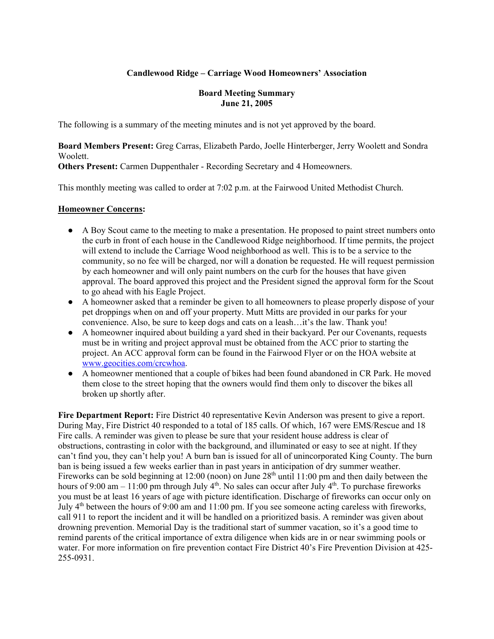### **Candlewood Ridge – Carriage Wood Homeowners' Association**

#### **Board Meeting Summary June 21, 2005**

The following is a summary of the meeting minutes and is not yet approved by the board.

**Board Members Present:** Greg Carras, Elizabeth Pardo, Joelle Hinterberger, Jerry Woolett and Sondra Woolett.

**Others Present:** Carmen Duppenthaler - Recording Secretary and 4 Homeowners.

This monthly meeting was called to order at 7:02 p.m. at the Fairwood United Methodist Church.

#### **Homeowner Concerns:**

- A Boy Scout came to the meeting to make a presentation. He proposed to paint street numbers onto the curb in front of each house in the Candlewood Ridge neighborhood. If time permits, the project will extend to include the Carriage Wood neighborhood as well. This is to be a service to the community, so no fee will be charged, nor will a donation be requested. He will request permission by each homeowner and will only paint numbers on the curb for the houses that have given approval. The board approved this project and the President signed the approval form for the Scout to go ahead with his Eagle Project.
- A homeowner asked that a reminder be given to all homeowners to please properly dispose of your pet droppings when on and off your property. Mutt Mitts are provided in our parks for your convenience. Also, be sure to keep dogs and cats on a leash…it's the law. Thank you!
- A homeowner inquired about building a yard shed in their backyard. Per our Covenants, requests must be in writing and project approval must be obtained from the ACC prior to starting the project. An ACC approval form can be found in the Fairwood Flyer or on the HOA website at www.geocities.com/crcwhoa.
- A homeowner mentioned that a couple of bikes had been found abandoned in CR Park. He moved them close to the street hoping that the owners would find them only to discover the bikes all broken up shortly after.

**Fire Department Report:** Fire District 40 representative Kevin Anderson was present to give a report. During May, Fire District 40 responded to a total of 185 calls. Of which, 167 were EMS/Rescue and 18 Fire calls. A reminder was given to please be sure that your resident house address is clear of obstructions, contrasting in color with the background, and illuminated or easy to see at night. If they can't find you, they can't help you! A burn ban is issued for all of unincorporated King County. The burn ban is being issued a few weeks earlier than in past years in anticipation of dry summer weather. Fireworks can be sold beginning at 12:00 (noon) on June  $28<sup>th</sup>$  until 11:00 pm and then daily between the hours of 9:00 am – 11:00 pm through July  $4<sup>th</sup>$ . No sales can occur after July  $4<sup>th</sup>$ . To purchase fireworks you must be at least 16 years of age with picture identification. Discharge of fireworks can occur only on July 4th between the hours of 9:00 am and 11:00 pm. If you see someone acting careless with fireworks, call 911 to report the incident and it will be handled on a prioritized basis. A reminder was given about drowning prevention. Memorial Day is the traditional start of summer vacation, so it's a good time to remind parents of the critical importance of extra diligence when kids are in or near swimming pools or water. For more information on fire prevention contact Fire District 40's Fire Prevention Division at 425- 255-0931.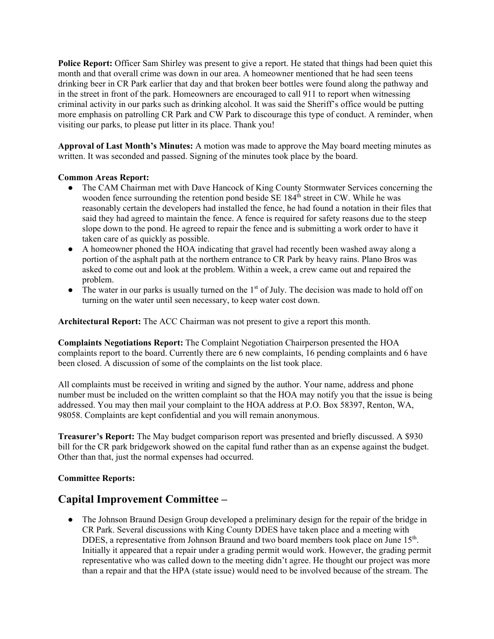**Police Report:** Officer Sam Shirley was present to give a report. He stated that things had been quiet this month and that overall crime was down in our area. A homeowner mentioned that he had seen teens drinking beer in CR Park earlier that day and that broken beer bottles were found along the pathway and in the street in front of the park. Homeowners are encouraged to call 911 to report when witnessing criminal activity in our parks such as drinking alcohol. It was said the Sheriff's office would be putting more emphasis on patrolling CR Park and CW Park to discourage this type of conduct. A reminder, when visiting our parks, to please put litter in its place. Thank you!

**Approval of Last Month's Minutes:** A motion was made to approve the May board meeting minutes as written. It was seconded and passed. Signing of the minutes took place by the board.

#### **Common Areas Report:**

- The CAM Chairman met with Dave Hancock of King County Stormwater Services concerning the wooden fence surrounding the retention pond beside SE  $184<sup>th</sup>$  street in CW. While he was reasonably certain the developers had installed the fence, he had found a notation in their files that said they had agreed to maintain the fence. A fence is required for safety reasons due to the steep slope down to the pond. He agreed to repair the fence and is submitting a work order to have it taken care of as quickly as possible.
- A homeowner phoned the HOA indicating that gravel had recently been washed away along a portion of the asphalt path at the northern entrance to CR Park by heavy rains. Plano Bros was asked to come out and look at the problem. Within a week, a crew came out and repaired the problem.
- $\bullet$  The water in our parks is usually turned on the 1<sup>st</sup> of July. The decision was made to hold off on turning on the water until seen necessary, to keep water cost down.

**Architectural Report:** The ACC Chairman was not present to give a report this month.

**Complaints Negotiations Report:** The Complaint Negotiation Chairperson presented the HOA complaints report to the board. Currently there are 6 new complaints, 16 pending complaints and 6 have been closed. A discussion of some of the complaints on the list took place.

All complaints must be received in writing and signed by the author. Your name, address and phone number must be included on the written complaint so that the HOA may notify you that the issue is being addressed. You may then mail your complaint to the HOA address at P.O. Box 58397, Renton, WA, 98058. Complaints are kept confidential and you will remain anonymous.

**Treasurer's Report:** The May budget comparison report was presented and briefly discussed. A \$930 bill for the CR park bridgework showed on the capital fund rather than as an expense against the budget. Other than that, just the normal expenses had occurred.

#### **Committee Reports:**

### **Capital Improvement Committee –**

• The Johnson Braund Design Group developed a preliminary design for the repair of the bridge in CR Park. Several discussions with King County DDES have taken place and a meeting with DDES, a representative from Johnson Braund and two board members took place on June  $15<sup>th</sup>$ . Initially it appeared that a repair under a grading permit would work. However, the grading permit representative who was called down to the meeting didn't agree. He thought our project was more than a repair and that the HPA (state issue) would need to be involved because of the stream. The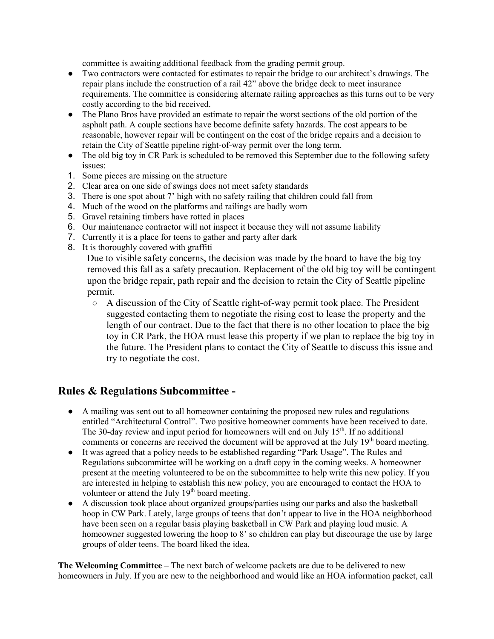committee is awaiting additional feedback from the grading permit group.

- Two contractors were contacted for estimates to repair the bridge to our architect's drawings. The repair plans include the construction of a rail 42" above the bridge deck to meet insurance requirements. The committee is considering alternate railing approaches as this turns out to be very costly according to the bid received.
- The Plano Bros have provided an estimate to repair the worst sections of the old portion of the asphalt path. A couple sections have become definite safety hazards. The cost appears to be reasonable, however repair will be contingent on the cost of the bridge repairs and a decision to retain the City of Seattle pipeline right-of-way permit over the long term.
- The old big toy in CR Park is scheduled to be removed this September due to the following safety issues:
- 1. Some pieces are missing on the structure
- 2. Clear area on one side of swings does not meet safety standards
- 3. There is one spot about 7' high with no safety railing that children could fall from
- 4. Much of the wood on the platforms and railings are badly worn
- 5. Gravel retaining timbers have rotted in places
- 6. Our maintenance contractor will not inspect it because they will not assume liability
- 7. Currently it is a place for teens to gather and party after dark
- 8. It is thoroughly covered with graffiti

Due to visible safety concerns, the decision was made by the board to have the big toy removed this fall as a safety precaution. Replacement of the old big toy will be contingent upon the bridge repair, path repair and the decision to retain the City of Seattle pipeline permit.

 $\circ$  A discussion of the City of Seattle right-of-way permit took place. The President suggested contacting them to negotiate the rising cost to lease the property and the length of our contract. Due to the fact that there is no other location to place the big toy in CR Park, the HOA must lease this property if we plan to replace the big toy in the future. The President plans to contact the City of Seattle to discuss this issue and try to negotiate the cost.

## **Rules & Regulations Subcommittee -**

- A mailing was sent out to all homeowner containing the proposed new rules and regulations entitled "Architectural Control". Two positive homeowner comments have been received to date. The 30-day review and input period for homeowners will end on July  $15<sup>th</sup>$ . If no additional comments or concerns are received the document will be approved at the July  $19<sup>th</sup>$  board meeting.
- It was agreed that a policy needs to be established regarding "Park Usage". The Rules and Regulations subcommittee will be working on a draft copy in the coming weeks. A homeowner present at the meeting volunteered to be on the subcommittee to help write this new policy. If you are interested in helping to establish this new policy, you are encouraged to contact the HOA to volunteer or attend the July 19<sup>th</sup> board meeting.
- A discussion took place about organized groups/parties using our parks and also the basketball hoop in CW Park. Lately, large groups of teens that don't appear to live in the HOA neighborhood have been seen on a regular basis playing basketball in CW Park and playing loud music. A homeowner suggested lowering the hoop to 8' so children can play but discourage the use by large groups of older teens. The board liked the idea.

**The Welcoming Committee** – The next batch of welcome packets are due to be delivered to new homeowners in July. If you are new to the neighborhood and would like an HOA information packet, call